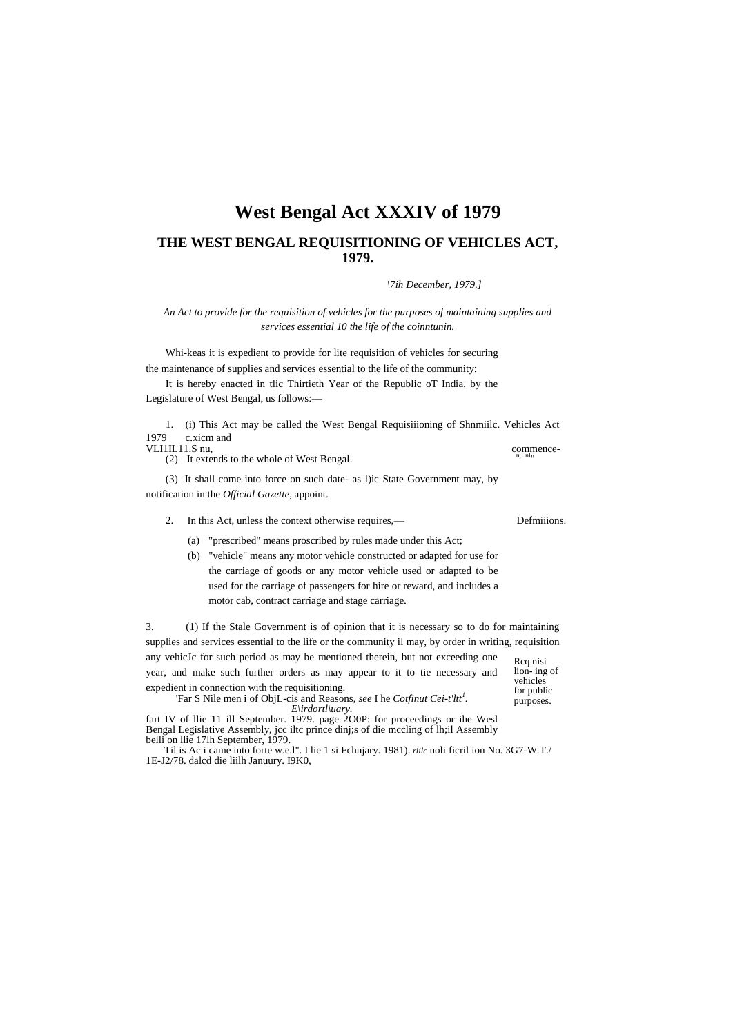# **West Bengal Act XXXIV of 1979**

## THE WEST BENGAL REQUISITIONING OF VEHICLES ACT, 1979.

\7ih December, 1979.1

An Act to provide for the requisition of vehicles for the purposes of maintaining supplies and services essential 10 the life of the coinntunin.

Whi-keas it is expedient to provide for lite requisition of vehicles for securing the maintenance of supplies and services essential to the life of the community:

It is hereby enacted in tlic Thirtieth Year of the Republic oT India, by the Legislature of West Bengal, us follows:-

1. (i) This Act may be called the West Bengal Requisitioning of Shamille. Vehicles Act 1979 c.xicm and commence-

VLI1IL11.S nu,

(2) It extends to the whole of West Bengal.

(3) It shall come into force on such date- as l)ic State Government may, by notification in the *Official Gazette*, appoint.

- In this Act, unless the context otherwise requires,—  $\mathcal{L}$ 
	- (a) "prescribed" means proscribed by rules made under this Act;
	- (b) "vehicle" means any motor vehicle constructed or adapted for use for the carriage of goods or any motor vehicle used or adapted to be used for the carriage of passengers for hire or reward, and includes a motor cab, contract carriage and stage carriage.

 $\overline{3}$ . (1) If the Stale Government is of opinion that it is necessary so to do for maintaining supplies and services essential to the life or the community il may, by order in writing, requisition any vehicJc for such period as may be mentioned therein, but not exceeding one Rcq nisi year, and make such further orders as may appear to it to tie necessary and lion-ing of vehicles expedient in connection with the requisitioning. for public

'Far S Nile men i of ObjL-cis and Reasons, see I he Cotfinut Cei-t'ltt<sup>1</sup>.

Extract IV of lie 11 ill September. 1979. Bagged 200P: for proceedings or ihe West<br>Bengal Legislative Assembly, jcc ilte prince dinj;s of die mecling of lh;il Assembly<br>belli on lie 17lh September, 1979.

Til is Ac i came into forte w.e.l". I lie 1 si Fchnjary. 1981). riile noli ficril ion No. 3G7-W.T./ 1E-J2/78. dalcd die liilh Januury. I9K0,

purposes.

Defmiiions.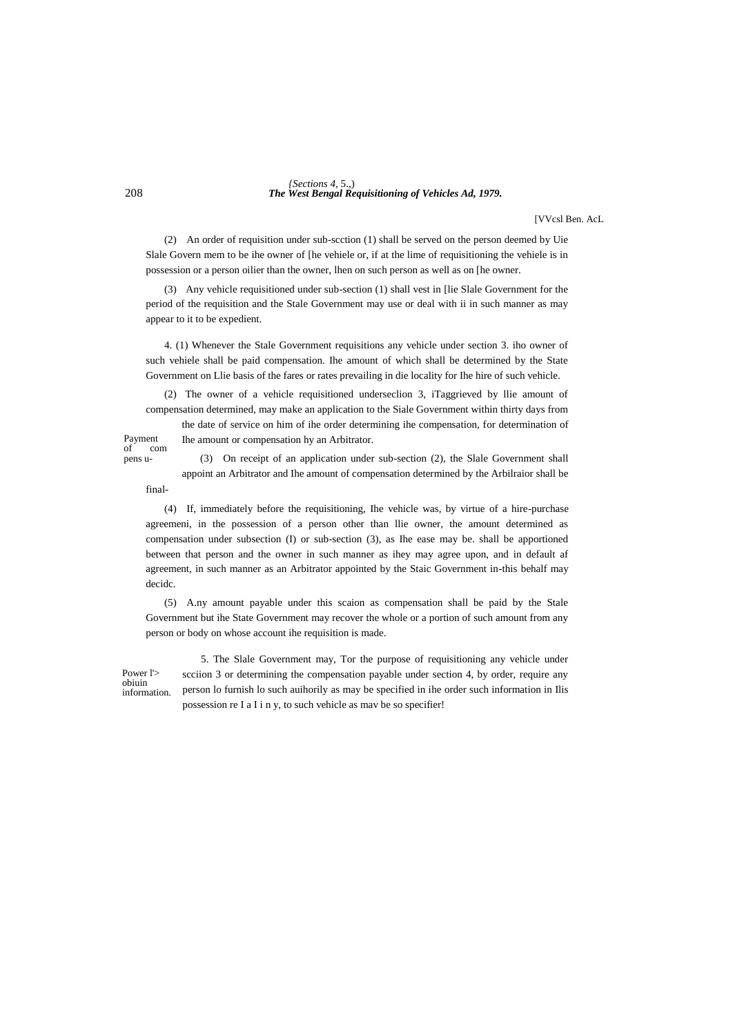#### 208 *The West Bengal Requisitioning of Vehicles Ad, 1979. {Sections 4,* 5.,)

[VVcsl Ben. AcL

(2) An order of requisition under sub-scction (1) shall be served on the person deemed by Uie Slale Govern mem to be ihe owner of [he vehiele or, if at the lime of requisitioning the vehiele is in possession or a person oilier than the owner, lhen on such person as well as on [he owner.

(3) Any vehicle requisitioned under sub-section (1) shall vest in [lie Slale Government for the period of the requisition and the Stale Government may use or deal with ii in such manner as may appear to it to be expedient.

4. (1) Whenever the Stale Government requisitions any vehicle under section 3. iho owner of such vehiele shall be paid compensation. Ihe amount of which shall be determined by the State Government on Llie basis of the fares or rates prevailing in die locality for Ihe hire of such vehicle.

(2) The owner of a vehicle requisitioned underseclion 3, iTaggrieved by llie amount of compensation determined, may make an application to the Siale Government within thirty days from the date of service on him of ihe order determining ihe compensation, for determination of

Ihe amount or compensation hy an Arbitrator.

Payment<br>of co com pens u-

(3) On receipt of an application under sub-section (2), the Slale Government shall appoint an Arbitrator and Ihe amount of compensation determined by the Arbilraior shall be

final-

(4) If, immediately before the requisitioning, Ihe vehicle was, by virtue of a hire-purchase agreemeni, in the possession of a person other than llie owner, the amount determined as compensation under subsection (I) or sub-section (3), as Ihe ease may be. shall be apportioned between that person and the owner in such manner as ihey may agree upon, and in default af agreement, in such manner as an Arbitrator appointed by the Staic Government in-this behalf may decidc.

(5) A.ny amount payable under this scaion as compensation shall be paid by the Stale Government but ihe State Government may recover the whole or a portion of such amount from any person or body on whose account ihe requisition is made.

Power l'> obiuin information.

5. The Slale Government may, Tor the purpose of requisitioning any vehicle under scciion 3 or determining the compensation payable under section 4, by order, require any person lo furnish lo such auihorily as may be specified in ihe order such information in Ilis possession re I a I i n y, to such vehicle as mav be so specifier!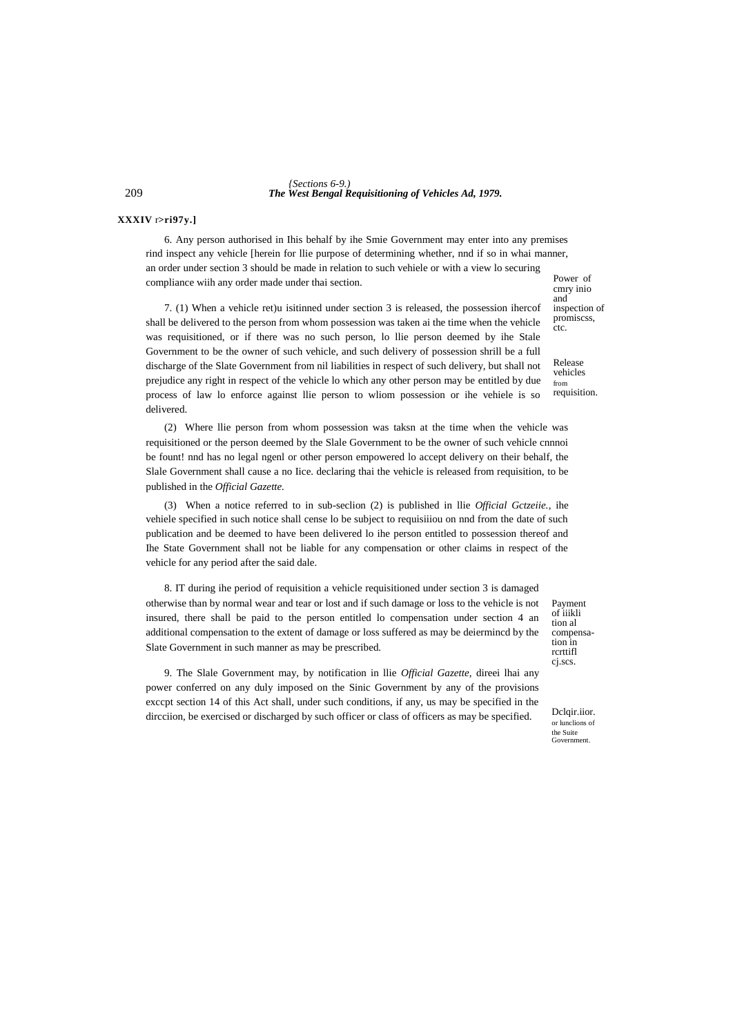209 *The West Bengal Requisitioning of Vehicles Ad, 1979. {Sections 6-9.)*

### **XXXIV** r**>ri97y.]**

6. Any person authorised in Ihis behalf by ihe Smie Government may enter into any premises rind inspect any vehicle [herein for llie purpose of determining whether, nnd if so in whai manner, an order under section 3 should be made in relation to such vehiele or with a view lo securing compliance wiih any order made under thai section.

7. (1) When a vehicle ret)u isitinned under section 3 is released, the possession ihercof shall be delivered to the person from whom possession was taken ai the time when the vehicle was requisitioned, or if there was no such person, lo llie person deemed by ihe Stale Government to be the owner of such vehicle, and such delivery of possession shrill be a full discharge of the Slate Government from nil liabilities in respect of such delivery, but shall not prejudice any right in respect of the vehicle lo which any other person may be entitled by due process of law lo enforce against llie person to wliom possession or ihe vehiele is so delivered.

(2) Where llie person from whom possession was taksn at the time when the vehicle was requisitioned or the person deemed by the Slale Government to be the owner of such vehicle cnnnoi be fount! nnd has no legal ngenl or other person empowered lo accept delivery on their behalf, the Slale Government shall cause a no Iice. declaring thai the vehicle is released from requisition, to be published in the *Official Gazette.*

(3) When a notice referred to in sub-seclion (2) is published in llie *Official Gctzeiie.*, ihe vehiele specified in such notice shall cense lo be subject to requisiiiou on nnd from the date of such publication and be deemed to have been delivered lo ihe person entitled to possession thereof and Ihe State Government shall not be liable for any compensation or other claims in respect of the vehicle for any period after the said dale.

8. IT during ihe period of requisition a vehicle requisitioned under section 3 is damaged otherwise than by normal wear and tear or lost and if such damage or loss to the vehicle is not insured, there shall be paid to the person entitled lo compensation under section 4 an additional compensation to the extent of damage or loss suffered as may be deiermincd by the Slate Government in such manner as may be prescribed.

9. The Slale Government may, by notification in llie *Official Gazette,* direei lhai any power conferred on any duly imposed on the Sinic Government by any of the provisions exccpt section 14 of this Act shall, under such conditions, if any, us may be specified in the dircciion, be exercised or discharged by such officer or class of officers as may be specified.

Payment of iiikli tion al compensation in rcrttifl cj.scs.

Dclair.iior. or lunclions of the Suite Government.

Power of cmry inio and inspection of promiscss, ctc.

Release vehicles

from requisition.